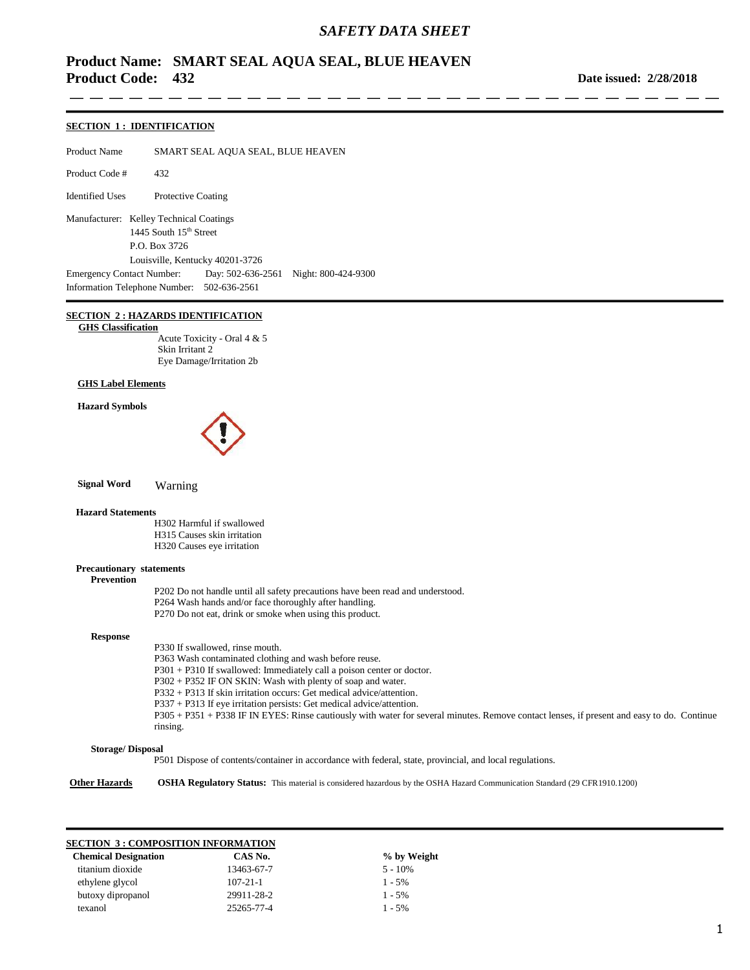## *SAFETY DATA SHEET*

# **Product Name: SMART SEAL AQUA SEAL, BLUE HEAVEN Product Code: 432**

**Date issued: 2/28/2018**

#### **SECTION 1 : IDENTIFICATION**

Product Name SMART SEAL AQUA SEAL, BLUE HEAVEN Product Code # 432 Identified Uses Protective Coating Manufacturer: Kelley Technical Coatings

1445 South 15<sup>th</sup> Street P.O. Box 3726 Louisville, Kentucky 40201-3726 Emergency Contact Number: Day: 502-636-2561 Night: 800-424-9300 Information Telephone Number: 502-636-2561

### **SECTION 2 : HAZARDS IDENTIFICATION**

 **GHS Classification**

Acute Toxicity - Oral 4 & 5 Skin Irritant 2 Eye Damage/Irritation 2b

#### **GHS Label Elements**

#### **Hazard Symbols**



 **Signal Word** Warning

#### **Hazard Statements**

H302 Harmful if swallowed H315 Causes skin irritation H320 Causes eye irritation

#### **Precautionary statements**

P202 Do not handle until all safety precautions have been read and understood. P264 Wash hands and/or face thoroughly after handling. P270 Do not eat, drink or smoke when using this product.

#### **Response**

 **Prevention**

P330 If swallowed, rinse mouth. P363 Wash contaminated clothing and wash before reuse. P301 + P310 If swallowed: Immediately call a poison center or doctor. P302 + P352 IF ON SKIN: Wash with plenty of soap and water. P332 + P313 If skin irritation occurs: Get medical advice/attention. P337 + P313 If eye irritation persists: Get medical advice/attention. P305 + P351 + P338 IF IN EYES: Rinse cautiously with water for several minutes. Remove contact lenses, if present and easy to do. Continue rinsing.

#### **Storage/ Disposal**

P501 Dispose of contents/container in accordance with federal, state, provincial, and local regulations.

**Other Hazards OSHA Regulatory Status:** This material is considered hazardous by the OSHA Hazard Communication Standard (29 CFR1910.1200)

#### **SECTION 3 : COMPOSITION INFORMATION**

| <b>Chemical Designation</b> | CAS No.        | % by Weight |
|-----------------------------|----------------|-------------|
| titanium dioxide            | 13463-67-7     | $5 - 10\%$  |
| ethylene glycol             | $107 - 21 - 1$ | $1 - 5\%$   |
| butoxy dipropanol           | 29911-28-2     | $1 - 5\%$   |
| texanol                     | 25265-77-4     | $1 - 5\%$   |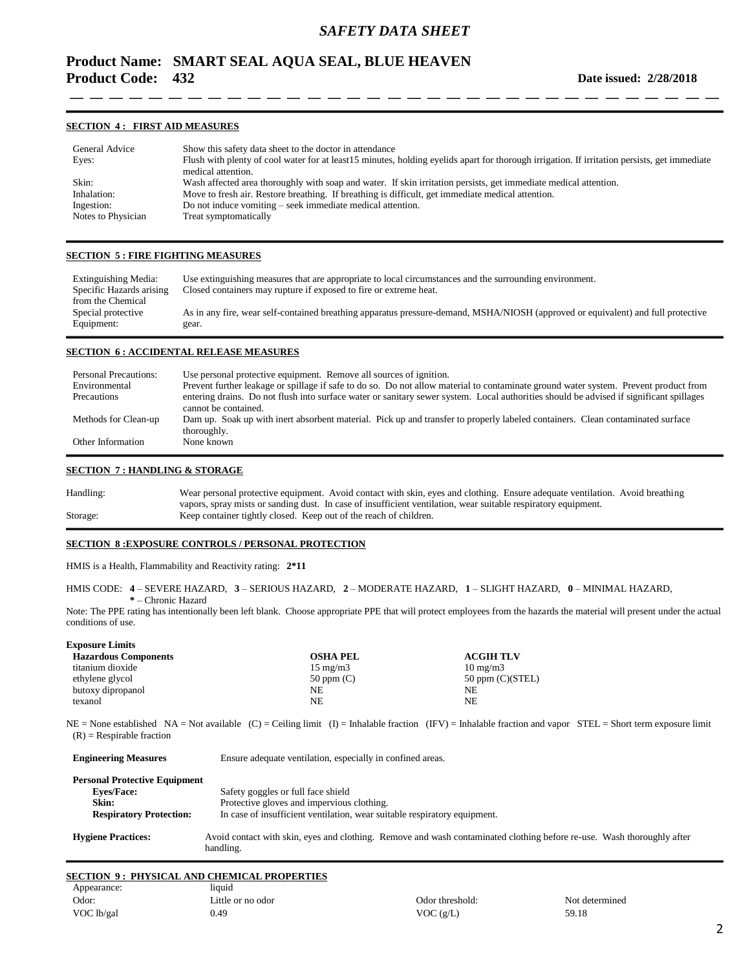# **Product Name: SMART SEAL AQUA SEAL, BLUE HEAVEN Product Code: 432**

#### **SECTION 4 : FIRST AID MEASURES**

| General Advice     | Show this safety data sheet to the doctor in attendance                                                                                      |
|--------------------|----------------------------------------------------------------------------------------------------------------------------------------------|
| Eyes:              | Flush with plenty of cool water for at least15 minutes, holding eyelids apart for thorough irrigation. If irritation persists, get immediate |
|                    | medical attention.                                                                                                                           |
| Skin:              | Wash affected area thoroughly with soap and water. If skin irritation persists, get immediate medical attention.                             |
| Inhalation:        | Move to fresh air. Restore breathing. If breathing is difficult, get immediate medical attention.                                            |
| Ingestion:         | Do not induce vomiting – seek immediate medical attention.                                                                                   |
| Notes to Physician | Treat symptomatically                                                                                                                        |

#### **SECTION 5 : FIRE FIGHTING MEASURES**

| Extinguishing Media:     | Use extinguishing measures that are appropriate to local circumstances and the surrounding environment.                          |
|--------------------------|----------------------------------------------------------------------------------------------------------------------------------|
| Specific Hazards arising | Closed containers may rupture if exposed to fire or extreme heat.                                                                |
| from the Chemical        |                                                                                                                                  |
| Special protective       | As in any fire, wear self-contained breathing apparatus pressure-demand, MSHA/NIOSH (approved or equivalent) and full protective |
| Equipment:               | gear.                                                                                                                            |

#### **SECTION 6 : ACCIDENTAL RELEASE MEASURES**

| <b>Personal Precautions:</b><br>Environmental | Use personal protective equipment. Remove all sources of ignition.<br>Prevent further leakage or spillage if safe to do so. Do not allow material to contaminate ground water system. Prevent product from |
|-----------------------------------------------|------------------------------------------------------------------------------------------------------------------------------------------------------------------------------------------------------------|
| Precautions                                   | entering drains. Do not flush into surface water or sanitary sewer system. Local authorities should be advised if significant spillages                                                                    |
|                                               | cannot be contained.                                                                                                                                                                                       |
| Methods for Clean-up                          | Dam up. Soak up with inert absorbent material. Pick up and transfer to properly labeled containers. Clean contaminated surface<br>thoroughly.                                                              |
| Other Information                             | None known                                                                                                                                                                                                 |

### **SECTION 7 : HANDLING & STORAGE**

**Exposure Limits**

Handling: Wear personal protective equipment. Avoid contact with skin, eyes and clothing. Ensure adequate ventilation. Avoid breathing vapors, spray mists or sanding dust. In case of insufficient ventilation, wear suitable respiratory equipment. Storage: Keep container tightly closed. Keep out of the reach of children.

## **SECTION 8 :EXPOSURE CONTROLS / PERSONAL PROTECTION**

HMIS is a Health, Flammability and Reactivity rating: **2\*11**

HMIS CODE: **4** – SEVERE HAZARD, **3** – SERIOUS HAZARD, **2** – MODERATE HAZARD, **1** – SLIGHT HAZARD, **0** – MINIMAL HAZARD, **\*** – Chronic Hazard

Note: The PPE rating has intentionally been left blank. Choose appropriate PPE that will protect employees from the hazards the material will present under the actual conditions of use.

| <b>EXPOSURE LIMITS</b>      |                   |                      |
|-----------------------------|-------------------|----------------------|
| <b>Hazardous Components</b> | <b>OSHA PEL</b>   | <b>ACGIH TLV</b>     |
| titanium dioxide            | $15 \text{ mg/m}$ | $10 \text{ mg/m}$    |
| ethylene glycol             | $50$ ppm $(C)$    | $50$ ppm $(C)(STEL)$ |
| butoxy dipropanol           | NF.               | NF.                  |
| texanol                     | NE.               | NF.                  |
|                             |                   |                      |

 $NE = None$  established NA = Not available  $(C) = Ceiling limit (I) = Inhalable fraction (IFV) = Inhalable fraction and vapor STEL = Short term exposure limit$  $(R)$  = Respirable fraction

| <b>Engineering Measures</b>          | Ensure adequate ventilation, especially in confined areas.                                                                          |
|--------------------------------------|-------------------------------------------------------------------------------------------------------------------------------------|
| <b>Personal Protective Equipment</b> |                                                                                                                                     |
| <b>Eves/Face:</b>                    | Safety goggles or full face shield                                                                                                  |
| Skin:                                | Protective gloves and impervious clothing.                                                                                          |
| <b>Respiratory Protection:</b>       | In case of insufficient ventilation, wear suitable respiratory equipment.                                                           |
| <b>Hygiene Practices:</b>            | Avoid contact with skin, eyes and clothing. Remove and wash contaminated clothing before re-use. Wash thoroughly after<br>handling. |

#### **SECTION 9 : PHYSICAL AND CHEMICAL PROPERTIES**

| Appearance: | liquid            |                 |                |
|-------------|-------------------|-----------------|----------------|
| Odor:       | Little or no odor | Odor threshold: | Not determined |
| VOC lb/gal  | 0.49              | VOC $(g/L)$     | 59.18          |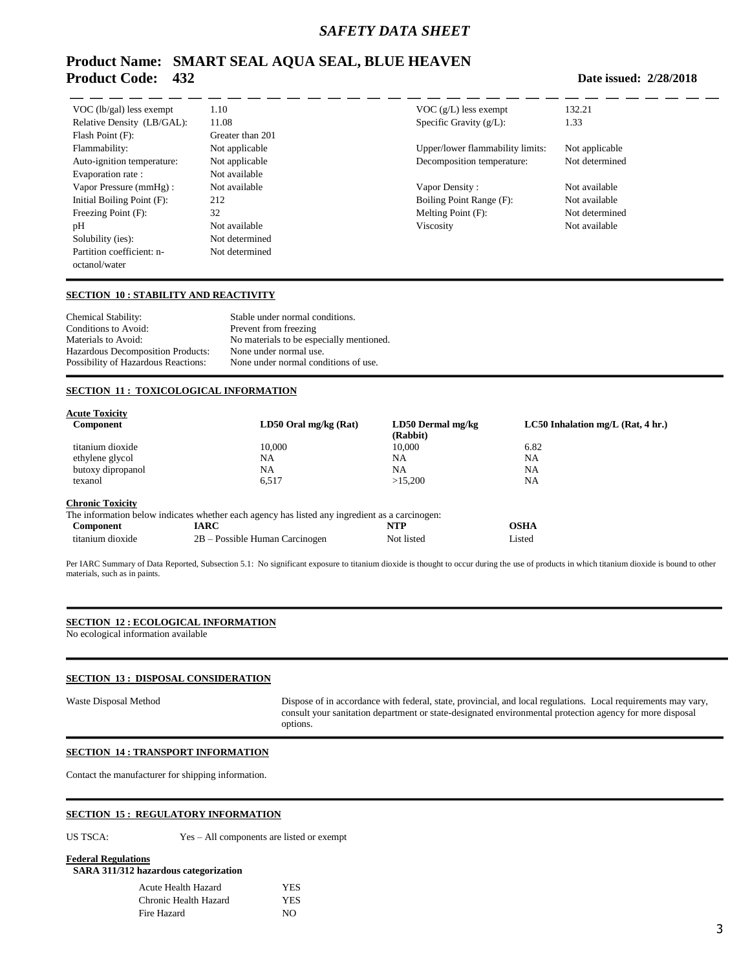## *SAFETY DATA SHEET*

# **Product Name: SMART SEAL AQUA SEAL, BLUE HEAVEN Product Code: 432**

| VOC $(lb/gal)$ less exempt | 1.10             | $VOC$ (g/L) less exempt          | 132.21        |
|----------------------------|------------------|----------------------------------|---------------|
| Relative Density (LB/GAL): | 11.08            | Specific Gravity $(g/L)$ :       | 1.33          |
| Flash Point (F):           | Greater than 201 |                                  |               |
| Flammability:              | Not applicable   | Upper/lower flammability limits: | Not applicabl |
| Auto-ignition temperature: | Not applicable   | Decomposition temperature:       | Not determin  |
| Evaporation rate :         | Not available    |                                  |               |
| Vapor Pressure (mmHg):     | Not available    | Vapor Density:                   | Not available |
| Initial Boiling Point (F): | 212              | Boiling Point Range (F):         | Not available |
| Freezing Point (F):        | 32               | Melting Point (F):               | Not determin  |
| pH                         | Not available    | Viscosity                        | Not available |
| Solubility (ies):          | Not determined   |                                  |               |
| Partition coefficient: n-  | Not determined   |                                  |               |
| octanol/water              |                  |                                  |               |

 $VOC (g/L)$  less exempt 132.21  $Specific Gravity (g/L):$  1.33

#### **Date issued: 2/28/2018**

### **SECTION 10 : STABILITY AND REACTIVITY**

Chemical Stability: Stable under normal conditions.<br>Conditions to Avoid: Prevent from freezing Prevent from freezing Materials to Avoid: No materials to be especially mentioned. Hazardous Decomposition Products: None under normal use.<br>
Possibility of Hazardous Reactions: None under normal con None under normal conditions of use.

### **SECTION 11 : TOXICOLOGICAL INFORMATION**

| <b>Acute Toxicity</b>   |                                                                                                |                   |                                     |
|-------------------------|------------------------------------------------------------------------------------------------|-------------------|-------------------------------------|
| <b>Component</b>        | $LD50$ Oral mg/kg (Rat)                                                                        | LD50 Dermal mg/kg | $LC50$ Inhalation mg/L (Rat, 4 hr.) |
|                         |                                                                                                | (Rabbit)          |                                     |
| titanium dioxide        | 10,000                                                                                         | 10.000            | 6.82                                |
| ethylene glycol         | NA                                                                                             | NA                | NA                                  |
| butoxy dipropanol       | <b>NA</b>                                                                                      | NA                | <b>NA</b>                           |
| texanol                 | 6.517                                                                                          | >15.200           | NA                                  |
| <b>Chronic Toxicity</b> |                                                                                                |                   |                                     |
|                         | The information below indicates whether each agency has listed any ingredient as a carcinogen: |                   |                                     |
| Component               | <b>IARC</b>                                                                                    | NTP               | <b>OSHA</b>                         |
| titanium dioxide        | 2B – Possible Human Carcinogen                                                                 | Not listed        | Listed                              |

Per IARC Summary of Data Reported, Subsection 5.1: No significant exposure to titanium dioxide is thought to occur during the use of products in which titanium dioxide is bound to other materials, such as in paints.

### **SECTION 12 : ECOLOGICAL INFORMATION**

No ecological information available

## **SECTION 13 : DISPOSAL CONSIDERATION**

Waste Disposal Method Dispose of in accordance with federal, state, provincial, and local regulations. Local requirements may vary, consult your sanitation department or state-designated environmental protection agency for more disposal options.

## **SECTION 14 : TRANSPORT INFORMATION**

Contact the manufacturer for shipping information.

#### **SECTION 15 : REGULATORY INFORMATION**

US TSCA: Yes – All components are listed or exempt

**Federal Regulations**

**SARA 311/312 hazardous categorization**

| Acute Health Hazard   | YES. |
|-----------------------|------|
| Chronic Health Hazard | YES. |
| Fire Hazard           | NO.  |